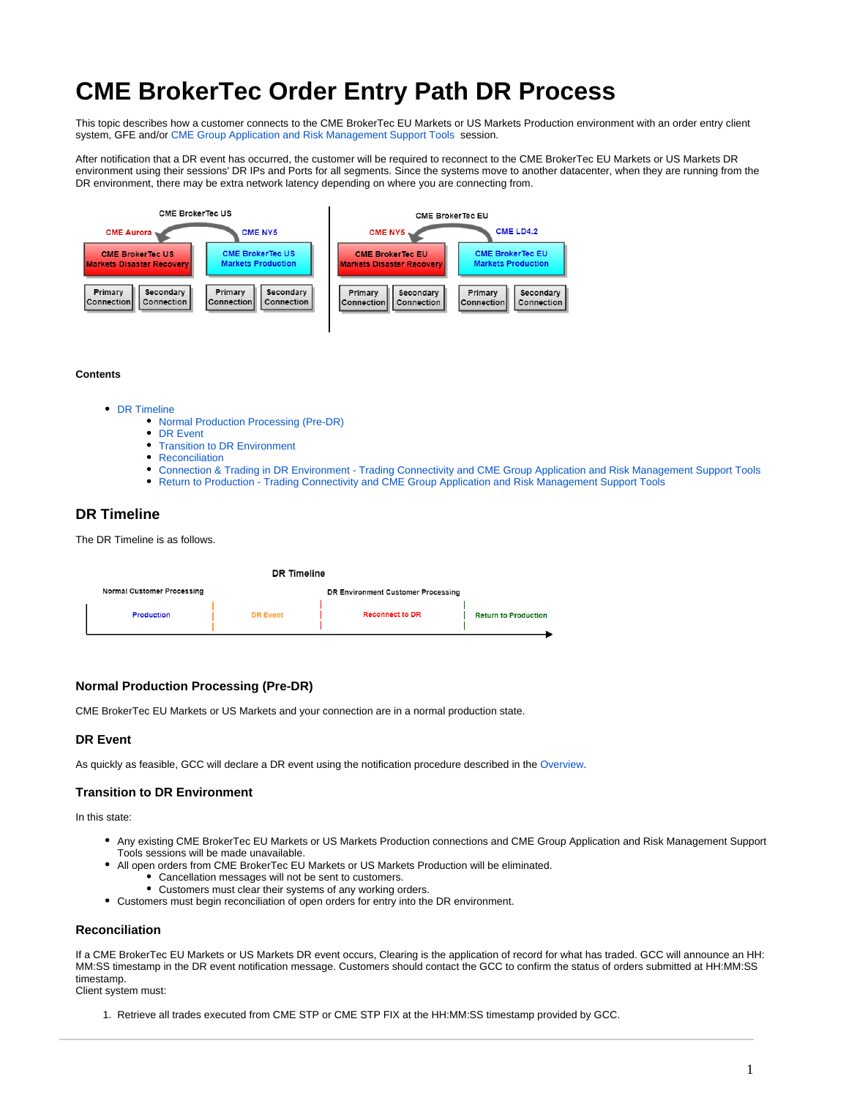# **CME BrokerTec Order Entry Path DR Process**

This topic describes how a customer connects to the CME BrokerTec EU Markets or US Markets Production environment with an order entry client system, GFE and/or [CME Group Application and Risk Management Support Tools](https://www.cmegroup.com/confluence/display/EPICSANDBOX/CME+BrokerTec+Support+Tools) session.

After notification that a DR event has occurred, the customer will be required to reconnect to the CME BrokerTec EU Markets or US Markets DR environment using their sessions' DR IPs and Ports for all segments. Since the systems move to another datacenter, when they are running from the DR environment, there may be extra network latency depending on where you are connecting from.



#### **Contents**

- [DR Timeline](#page-0-0)
	- [Normal Production Processing \(Pre-DR\)](#page-0-1)
	- [DR Event](#page-0-2)
	- $\bullet$ [Transition to DR Environment](#page-0-3)
	- [Reconciliation](#page-0-4)
	- [Connection & Trading in DR Environment Trading Connectivity and CME Group Application and Risk Management Support Tools](#page-1-0)
	- [Return to Production Trading Connectivity and CME Group Application and Risk Management Support Tools](#page-1-1)

# <span id="page-0-0"></span>**DR Timeline**

The DR Timeline is as follows.

| DR Timeline                       |                 |                                    |                             |
|-----------------------------------|-----------------|------------------------------------|-----------------------------|
| <b>Normal Customer Processing</b> |                 | DR Environment Customer Processing |                             |
| <b>Production</b>                 | <b>DR Event</b> | <b>Reconnect to DR</b>             | <b>Return to Production</b> |

## <span id="page-0-1"></span>**Normal Production Processing (Pre-DR)**

CME BrokerTec EU Markets or US Markets and your connection are in a normal production state.

#### <span id="page-0-2"></span>**DR Event**

As quickly as feasible, GCC will declare a DR event using the notification procedure described in the Overview.

#### <span id="page-0-3"></span>**Transition to DR Environment**

In this state:

- Any existing CME BrokerTec EU Markets or US Markets Production connections and CME Group Application and Risk Management Support Tools sessions will be made unavailable.
- All open orders from CME BrokerTec EU Markets or US Markets Production will be eliminated.
	- Cancellation messages will not be sent to customers.
	- Customers must clear their systems of any working orders.
- Customers must begin reconciliation of open orders for entry into the DR environment.

#### <span id="page-0-4"></span>**Reconciliation**

If a CME BrokerTec EU Markets or US Markets DR event occurs, Clearing is the application of record for what has traded. GCC will announce an HH: MM:SS timestamp in the DR event notification message. Customers should contact the GCC to confirm the status of orders submitted at HH:MM:SS timestamp.

Client system must:

1. Retrieve all trades executed from CME STP or CME STP FIX at the HH:MM:SS timestamp provided by GCC.